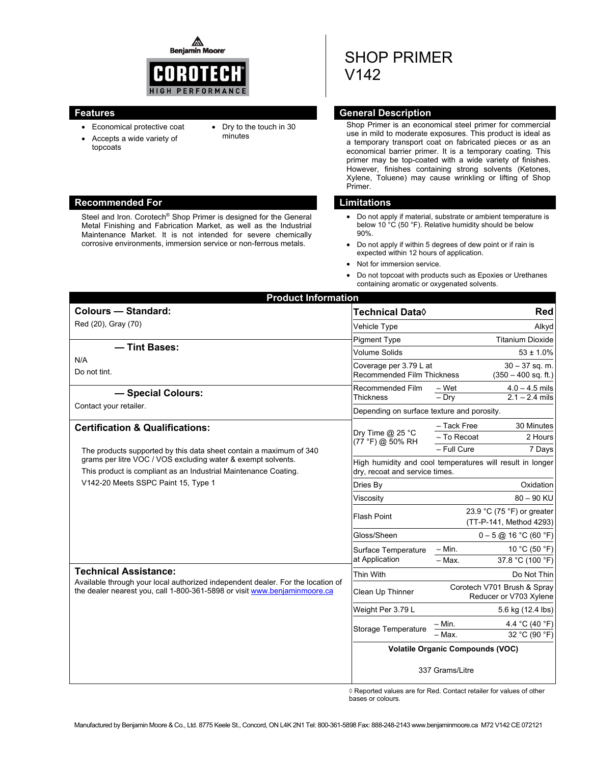◬ **Beniamin Moore** 



topcoats

- Economical protective coat Accepts a wide variety of
- Dry to the touch in 30 minutes

# SHOP PRIMER V142

### **Features General Description Contract Description Acts**

Shop Primer is an economical steel primer for commercial use in mild to moderate exposures. This product is ideal as a temporary transport coat on fabricated pieces or as an economical barrier primer. It is a temporary coating. This primer may be top-coated with a wide variety of finishes. However, finishes containing strong solvents (Ketones, Xylene, Toluene) may cause wrinkling or lifting of Shop Primer.

- Do not apply if material, substrate or ambient temperature is below 10 °C (50 °F). Relative humidity should be below 90%.
- Do not apply if within 5 degrees of dew point or if rain is expected within 12 hours of application.
- Not for immersion service.
- Do not topcoat with products such as Epoxies or Urethanes containing aromatic or oxygenated solvents.

| <b>Product Information</b>                                                                                                                                                                                                                                                                 |                                                                                             |                                                                                |                                      |
|--------------------------------------------------------------------------------------------------------------------------------------------------------------------------------------------------------------------------------------------------------------------------------------------|---------------------------------------------------------------------------------------------|--------------------------------------------------------------------------------|--------------------------------------|
| <b>Colours - Standard:</b>                                                                                                                                                                                                                                                                 | Technical Data◊                                                                             |                                                                                | <b>Red</b>                           |
| Red (20), Gray (70)                                                                                                                                                                                                                                                                        | Vehicle Type                                                                                |                                                                                | Alkyd                                |
|                                                                                                                                                                                                                                                                                            | <b>Pigment Type</b>                                                                         |                                                                                | <b>Titanium Dioxide</b>              |
| - Tint Bases:                                                                                                                                                                                                                                                                              | Volume Solids                                                                               |                                                                                | $53 \pm 1.0\%$                       |
| N/A<br>Do not tint.                                                                                                                                                                                                                                                                        | Coverage per 3.79 L at                                                                      | $30 - 37$ sq. m.<br><b>Recommended Film Thickness</b><br>$(350 - 400$ sq. ft.) |                                      |
| - Special Colours:                                                                                                                                                                                                                                                                         | Recommended Film<br>Thickness                                                               | – Wet<br>$-$ Drv                                                               | $4.0 - 4.5$ mils<br>$2.1 - 2.4$ mils |
| Contact your retailer.                                                                                                                                                                                                                                                                     | Depending on surface texture and porosity.                                                  |                                                                                |                                      |
| <b>Certification &amp; Qualifications:</b><br>The products supported by this data sheet contain a maximum of 340<br>grams per litre VOC / VOS excluding water & exempt solvents.<br>This product is compliant as an Industrial Maintenance Coating.<br>V142-20 Meets SSPC Paint 15, Type 1 | Dry Time @ 25 °C<br>(77 °F) @ 50% RH                                                        | - Tack Free<br>- To Recoat<br>- Full Cure                                      | 30 Minutes<br>2 Hours<br>7 Days      |
|                                                                                                                                                                                                                                                                                            | High humidity and cool temperatures will result in longer<br>dry, recoat and service times. |                                                                                |                                      |
|                                                                                                                                                                                                                                                                                            | Dries By                                                                                    | Oxidation                                                                      |                                      |
|                                                                                                                                                                                                                                                                                            | Viscosity                                                                                   |                                                                                | $80 - 90$ KU                         |
|                                                                                                                                                                                                                                                                                            | <b>Flash Point</b>                                                                          | 23.9 °C (75 °F) or greater<br>(TT-P-141, Method 4293)                          |                                      |
|                                                                                                                                                                                                                                                                                            | Gloss/Sheen                                                                                 | $0 - 5$ @ 16 °C (60 °F)                                                        |                                      |
|                                                                                                                                                                                                                                                                                            | Surface Temperature<br>at Application                                                       | $-$ Min.<br>$-$ Max.                                                           | 10 °C (50 °F)<br>37.8 °C (100 °F)    |
| <b>Technical Assistance:</b>                                                                                                                                                                                                                                                               | Thin With                                                                                   |                                                                                | Do Not Thin                          |
| Available through your local authorized independent dealer. For the location of<br>the dealer nearest you, call 1-800-361-5898 or visit www.benjaminmoore.ca                                                                                                                               | Clean Up Thinner                                                                            | Corotech V701 Brush & Spray<br>Reducer or V703 Xylene                          |                                      |
|                                                                                                                                                                                                                                                                                            | Weight Per 3.79 L                                                                           | 5.6 kg (12.4 lbs)                                                              |                                      |
|                                                                                                                                                                                                                                                                                            | <b>Storage Temperature</b>                                                                  | $-$ Min.<br>– Max.                                                             | 4.4 °C (40 °F)<br>32 °C (90 °F)      |
|                                                                                                                                                                                                                                                                                            | <b>Volatile Organic Compounds (VOC)</b>                                                     |                                                                                |                                      |
|                                                                                                                                                                                                                                                                                            | 337 Grams/Litre                                                                             |                                                                                |                                      |

◊ Reported values are for Red. Contact retailer for values of other bases or colours.

#### **Recommended For Limitations and Limitations**

Steel and Iron. Corotech® Shop Primer is designed for the General Metal Finishing and Fabrication Market, as well as the Industrial Maintenance Market. It is not intended for severe chemically corrosive environments, immersion service or non-ferrous metals.